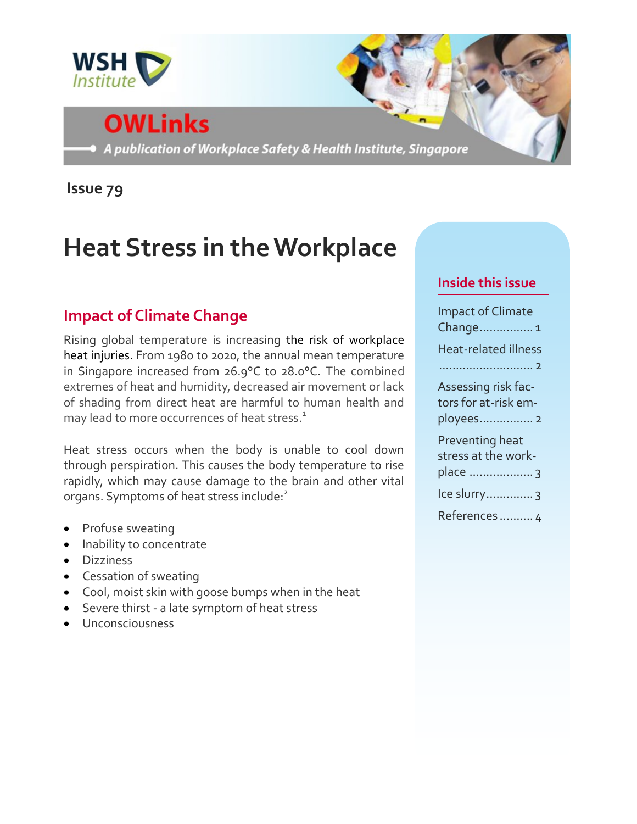

# **OWLinks**

A publication of Workplace Safety & Health Institute, Singapore

**Issue 79**

## **Heat Stress in the Workplace**

## **Impact of Climate Change**

Rising global temperature is increasing the risk of workplace heat injuries. From 1980 to 2020, the annual mean temperature in Singapore increased from 26.9°C to 28.0°C. The combined extremes of heat and humidity, decreased air movement or lack of shading from direct heat are harmful to human health and may lead to more occurrences of heat stress.<sup>1</sup>

Heat stress occurs when the body is unable to cool down through perspiration. This causes the body temperature to rise rapidly, which may cause damage to the brain and other vital organs. Symptoms of heat stress include:<sup>2</sup>

- Profuse sweating
- Inability to concentrate
- Dizziness
- Cessation of sweating
- Cool, moist skin with goose bumps when in the heat
- Severe thirst a late symptom of heat stress
- Unconsciousness

#### **Inside this issue**

| <b>Impact of Climate</b><br>Change1                      |
|----------------------------------------------------------|
| <b>Heat-related illness</b>                              |
| Assessing risk fac-<br>tors for at-risk em-<br>ployees 2 |
| Preventing heat<br>stress at the work-<br>place  3       |
| Ice slurry 3                                             |
| References  4                                            |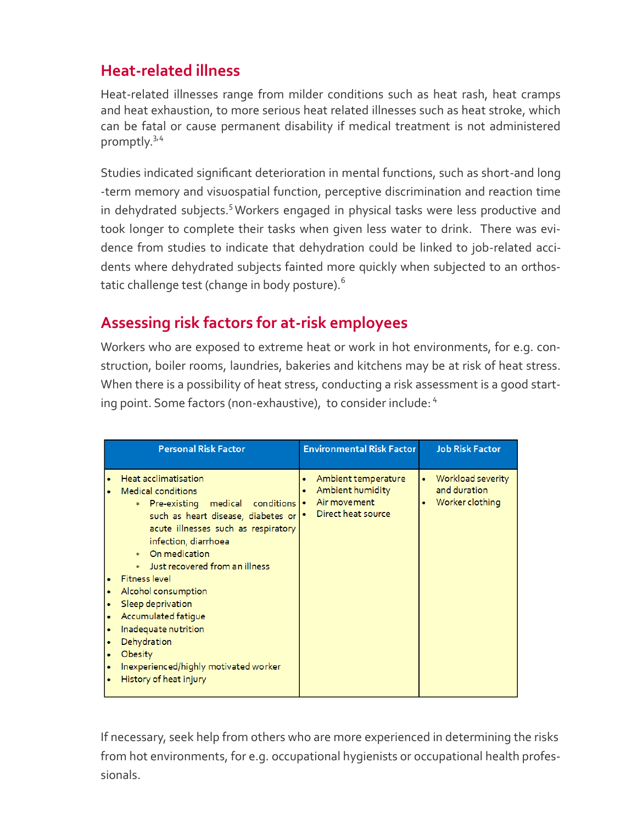## **Heat-related illness**

Heat-related illnesses range from milder conditions such as heat rash, heat cramps and heat exhaustion, to more serious heat related illnesses such as heat stroke, which can be fatal or cause permanent disability if medical treatment is not administered promptly.<sup>3,4</sup>

Studies indicated significant deterioration in mental functions, such as short-and long -term memory and visuospatial function, perceptive discrimination and reaction time in dehydrated subjects.<sup>5</sup> Workers engaged in physical tasks were less productive and took longer to complete their tasks when given less water to drink. There was evidence from studies to indicate that dehydration could be linked to job-related accidents where dehydrated subjects fainted more quickly when subjected to an orthostatic challenge test (change in body posture).<sup>6</sup>

## **Assessing risk factors for at-risk employees**

Workers who are exposed to extreme heat or work in hot environments, for e.g. construction, boiler rooms, laundries, bakeries and kitchens may be at risk of heat stress. When there is a possibility of heat stress, conducting a risk assessment is a good starting point. Some factors (non-exhaustive), to consider include: 4

| <b>Personal Risk Factor</b>                                                                                                                                                                                                                                                                                                                                                                                                                                                                         | <b>Environmental Risk Factor</b>                                                             | <b>Job Risk Factor</b>                               |
|-----------------------------------------------------------------------------------------------------------------------------------------------------------------------------------------------------------------------------------------------------------------------------------------------------------------------------------------------------------------------------------------------------------------------------------------------------------------------------------------------------|----------------------------------------------------------------------------------------------|------------------------------------------------------|
| Heat acclimatisation<br><b>Medical conditions</b><br>Pre-existing medical<br>conditions  <br>×.<br>such as heart disease, diabetes or<br>acute illnesses such as respiratory<br>infection, diarrhoea<br>On medication<br>Ŵ.<br>Just recovered from an illness<br><b>Fitness level</b><br>Alcohol consumption<br>٠<br>Sleep deprivation<br>Accumulated fatigue<br>Inadequate nutrition<br>Dehydration<br><b>Obesity</b><br>٠<br>Inexperienced/highly motivated worker<br>٠<br>History of heat injury | Ambient temperature<br>٠<br>Ambient humidity<br>٠<br>Air movement<br>٠<br>Direct heat source | Workload severity<br>and duration<br>Worker clothing |

If necessary, seek help from others who are more experienced in determining the risks from hot environments, for e.g. occupational hygienists or occupational health professionals.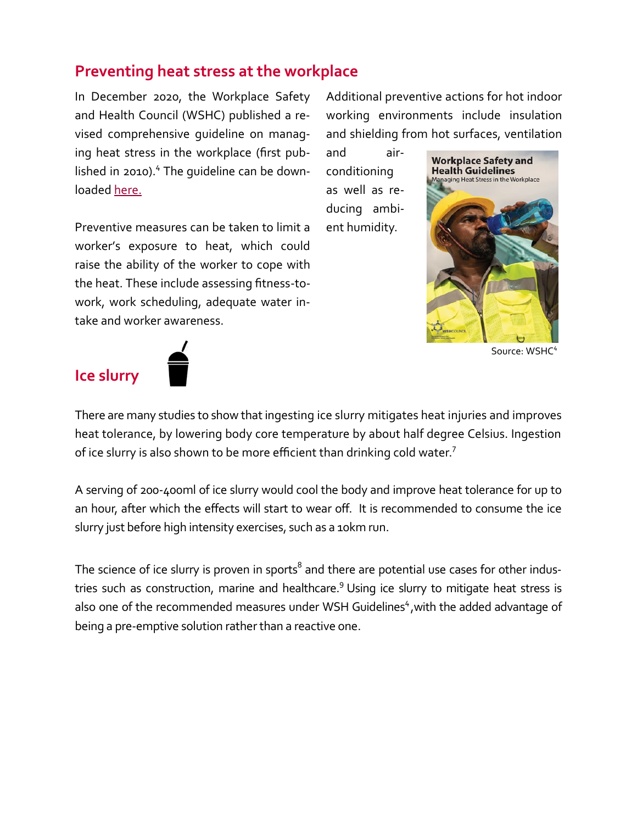### **Preventing heat stress at the workplace**

In December 2020, the Workplace Safety and Health Council (WSHC) published a revised comprehensive guideline on managing heat stress in the workplace (first published in 2010). $4$  The quideline can be downloaded [here.](https://www.tal.sg/wshc/Resources/Publications/WSH-Guidelines/WSH-Guidelines-on-Managing-Heat-Stress-at-the-Workplace)

Preventive measures can be taken to limit a worker's exposure to heat, which could raise the ability of the worker to cope with the heat. These include assessing fitness-towork, work scheduling, adequate water intake and worker awareness.

Additional preventive actions for hot indoor working environments include insulation and shielding from hot surfaces, ventilation

and airconditioning as well as reducing ambient humidity.



Source: WSHC<sup>4</sup>



There are many studies to show that ingesting ice slurry mitigates heat injuries and improves heat tolerance, by lowering body core temperature by about half degree Celsius. Ingestion of ice slurry is also shown to be more efficient than drinking cold water.<sup>7</sup>

A serving of 200-400ml of ice slurry would cool the body and improve heat tolerance for up to an hour, after which the effects will start to wear off. It is recommended to consume the ice slurry just before high intensity exercises, such as a 10km run.

The science of ice slurry is proven in sports $^8$  and there are potential use cases for other industries such as construction, marine and healthcare.<sup>9</sup> Using ice slurry to mitigate heat stress is also one of the recommended measures under WSH Guidelines<sup>4</sup>, with the added advantage of being a pre-emptive solution rather than a reactive one.